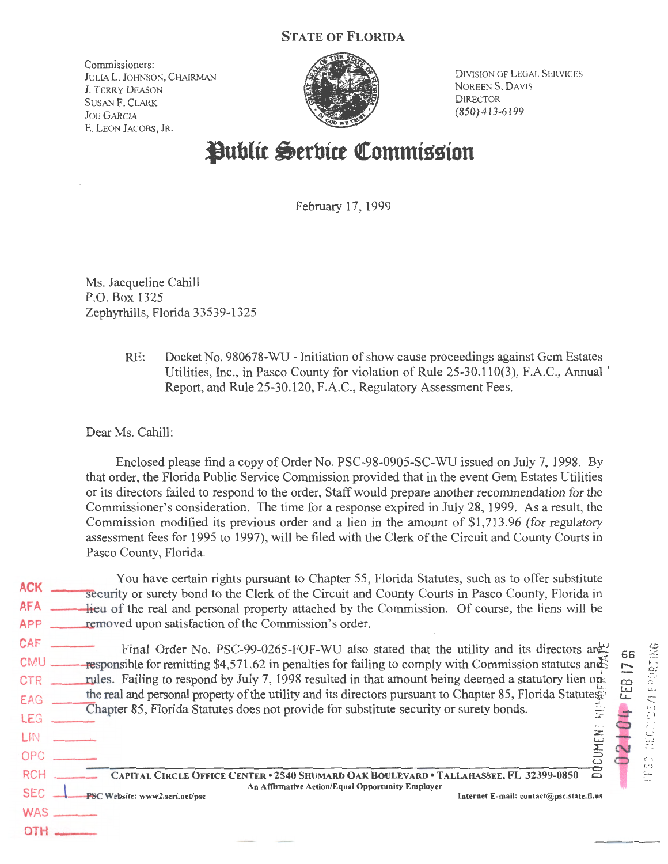## STATE OF FLORIDA

Commissioners: JULIA L. JOHNSON, CHAIRMAN J. TERRY DEASON SUSAN F. CLARK JOE GARCIA E. LEON JACOBS, JR.



DIVISION OF LEGAL SERVICES NOREEN S. DAVIS **DIRECTOR** (850)413-6199

## **Public Serbice Commission**

February 17, 1999

Ms. Jacqueline Cahill P.O. Box 1325 Zephyrhills, Florida 33539-1325

> RE: Docket No. 980678-WU - Initiation of show cause proceedings against Gem Estates Utilities, Inc., in Pasco County for violation of Rule 25-30.110(3), F.A.C., Annual  $\dot{\ }$ Report, and Rule 25-30.120, F.A.C., Regulatory Assessment Fees.

Dear Ms. Cahill:

PSC Website: www2.scri.net/psc

 $WAS$   $-$ OTH--

Enclosed please find a copy of Order No. PSC-98-0905-SC-WU issued on July 7, 1998. By that order, the Florida Public Service Commission provided that in the event Gem Estates Utilities or its directors failed to respond to the order, Staff would prepare another recommendation for the Commissioner's consideration. The time for a response expired in July 28, 1999. As a result, the Commission modified its previous order and a lien in the amount of \$1,713 .96 (for regulatory assessment fees for 1995 to 1997), will be filed with the Clerk of the Circuit and County Courts in Pasco County, Florida.

 $ACK =$ AFA APP <u>removed</u> upon satisfaction of the Commission's order. You have certain rights pursuant to Chapter 55, Florida Statutes, such as to offer substitute security or surety bond to the Clerk of the Circuit and County Courts in Pasco County, Florida in -lieu of the real and personal property attached by the Commission. Of course, the liens will be

 $CAF$  Final Order No. PSC-99-0265-FOF-WU also stated that the utility and its directors are: CMU  $\_\_\_\_\_\_\_\_\_\_\_\_\_\_\_\_\_\_\_\_\_\_\_\_\_\_\_\_\_.\$  S4,571.62 in penalties for failing to comply with Commission statutes and  $\{5\}$ CTR rules. Failing to respond by July 7, 1998 resulted in that amount being deemed a statutory lien on-EAG the real and personal property of the utility and its directors pursuant to Chapter 85, Florida Statutes: Chapter 85, Florida Statutes does not provide for substitute security or surety bonds. 1--

 $\overline{\text{L}}$  . The set of the set of the set of the set of the set of the set of the set of the set of the set of the set of the set of the set of the set of the set of the set of the set of the set of the set of the set of



OPC ::::::>  $\Xi$ RCH CAPITAL CIRCLE OFFICE CENTER • 2540 SHUMARD OAK BOULEVARD • TALLAHASSEE, FL 32399-0850 SEC An Affirmative Action/Equal Opportunity Employer Internet E-mail:  $contact(\omega)$ psc.state.fl.us